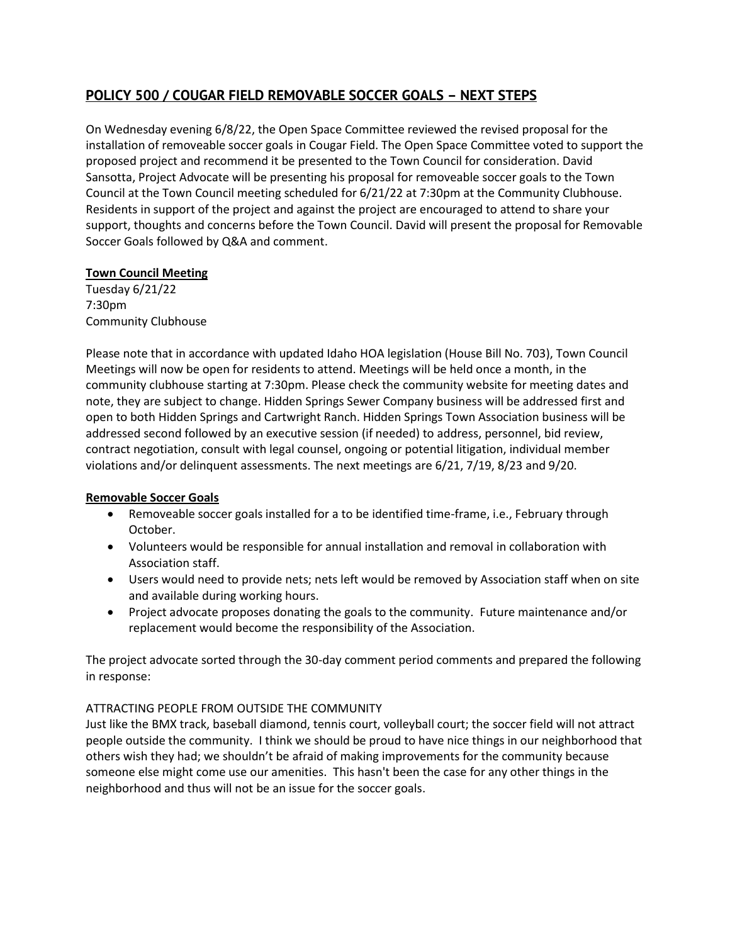# **POLICY 500 / COUGAR FIELD REMOVABLE SOCCER GOALS – NEXT STEPS**

On Wednesday evening 6/8/22, the Open Space Committee reviewed the revised proposal for the installation of removeable soccer goals in Cougar Field. The Open Space Committee voted to support the proposed project and recommend it be presented to the Town Council for consideration. David Sansotta, Project Advocate will be presenting his proposal for removeable soccer goals to the Town Council at the Town Council meeting scheduled for 6/21/22 at 7:30pm at the Community Clubhouse. Residents in support of the project and against the project are encouraged to attend to share your support, thoughts and concerns before the Town Council. David will present the proposal for Removable Soccer Goals followed by Q&A and comment.

# **Town Council Meeting**

Tuesday 6/21/22 7:30pm Community Clubhouse

Please note that in accordance with updated Idaho HOA legislation (House Bill No. 703), Town Council Meetings will now be open for residents to attend. Meetings will be held once a month, in the community clubhouse starting at 7:30pm. Please check the community website for meeting dates and note, they are subject to change. Hidden Springs Sewer Company business will be addressed first and open to both Hidden Springs and Cartwright Ranch. Hidden Springs Town Association business will be addressed second followed by an executive session (if needed) to address, personnel, bid review, contract negotiation, consult with legal counsel, ongoing or potential litigation, individual member violations and/or delinquent assessments. The next meetings are 6/21, 7/19, 8/23 and 9/20.

## **Removable Soccer Goals**

- Removeable soccer goals installed for a to be identified time-frame, i.e., February through October.
- Volunteers would be responsible for annual installation and removal in collaboration with Association staff.
- Users would need to provide nets; nets left would be removed by Association staff when on site and available during working hours.
- Project advocate proposes donating the goals to the community. Future maintenance and/or replacement would become the responsibility of the Association.

The project advocate sorted through the 30-day comment period comments and prepared the following in response:

# ATTRACTING PEOPLE FROM OUTSIDE THE COMMUNITY

Just like the BMX track, baseball diamond, tennis court, volleyball court; the soccer field will not attract people outside the community. I think we should be proud to have nice things in our neighborhood that others wish they had; we shouldn't be afraid of making improvements for the community because someone else might come use our amenities. This hasn't been the case for any other things in the neighborhood and thus will not be an issue for the soccer goals.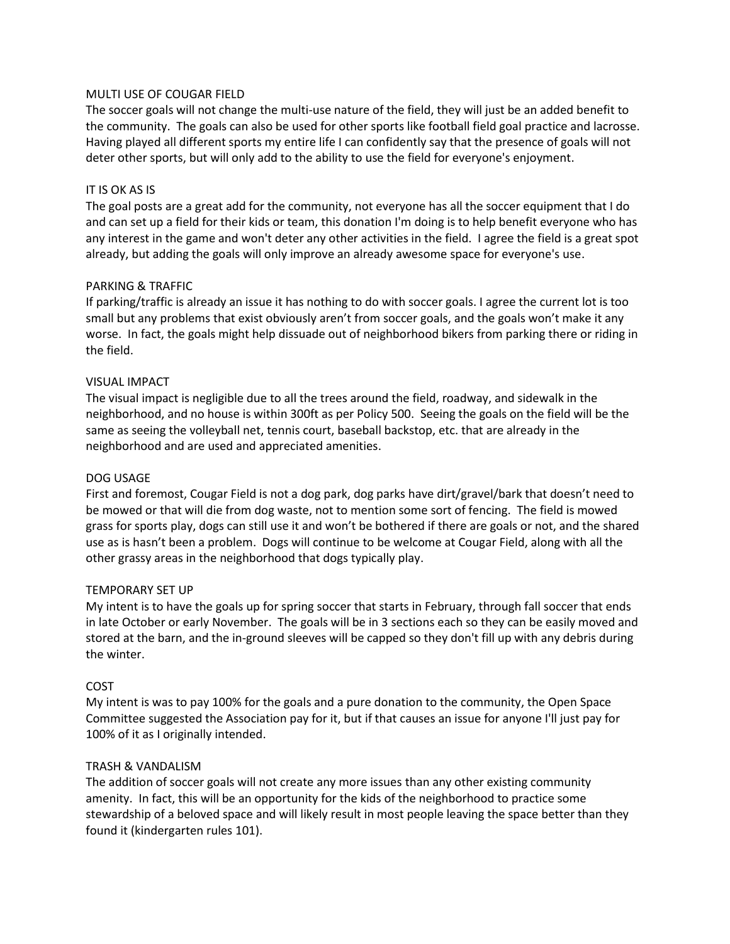### MULTI USE OF COUGAR FIELD

The soccer goals will not change the multi-use nature of the field, they will just be an added benefit to the community. The goals can also be used for other sports like football field goal practice and lacrosse. Having played all different sports my entire life I can confidently say that the presence of goals will not deter other sports, but will only add to the ability to use the field for everyone's enjoyment.

# IT IS OK AS IS

The goal posts are a great add for the community, not everyone has all the soccer equipment that I do and can set up a field for their kids or team, this donation I'm doing is to help benefit everyone who has any interest in the game and won't deter any other activities in the field. I agree the field is a great spot already, but adding the goals will only improve an already awesome space for everyone's use.

### PARKING & TRAFFIC

If parking/traffic is already an issue it has nothing to do with soccer goals. I agree the current lot is too small but any problems that exist obviously aren't from soccer goals, and the goals won't make it any worse. In fact, the goals might help dissuade out of neighborhood bikers from parking there or riding in the field.

### VISUAL IMPACT

The visual impact is negligible due to all the trees around the field, roadway, and sidewalk in the neighborhood, and no house is within 300ft as per Policy 500. Seeing the goals on the field will be the same as seeing the volleyball net, tennis court, baseball backstop, etc. that are already in the neighborhood and are used and appreciated amenities.

#### DOG USAGE

First and foremost, Cougar Field is not a dog park, dog parks have dirt/gravel/bark that doesn't need to be mowed or that will die from dog waste, not to mention some sort of fencing. The field is mowed grass for sports play, dogs can still use it and won't be bothered if there are goals or not, and the shared use as is hasn't been a problem. Dogs will continue to be welcome at Cougar Field, along with all the other grassy areas in the neighborhood that dogs typically play.

#### TEMPORARY SET UP

My intent is to have the goals up for spring soccer that starts in February, through fall soccer that ends in late October or early November. The goals will be in 3 sections each so they can be easily moved and stored at the barn, and the in-ground sleeves will be capped so they don't fill up with any debris during the winter.

#### COST

My intent is was to pay 100% for the goals and a pure donation to the community, the Open Space Committee suggested the Association pay for it, but if that causes an issue for anyone I'll just pay for 100% of it as I originally intended.

## TRASH & VANDALISM

The addition of soccer goals will not create any more issues than any other existing community amenity. In fact, this will be an opportunity for the kids of the neighborhood to practice some stewardship of a beloved space and will likely result in most people leaving the space better than they found it (kindergarten rules 101).